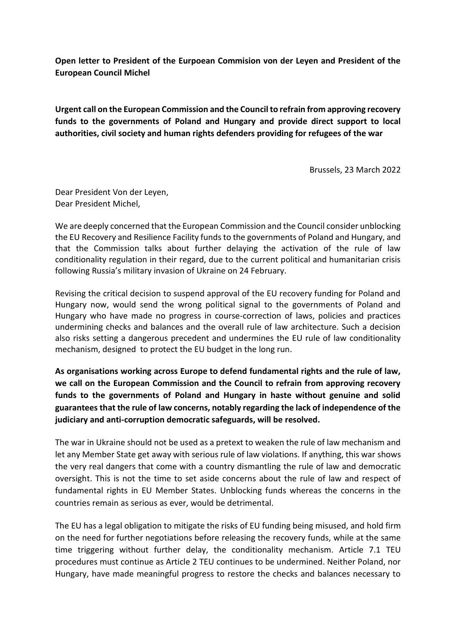**Open letter to President of the Eurpoean Commision von der Leyen and President of the European Council Michel**

**Urgent call on the European Commission and the Council to refrain from approving recovery funds to the governments of Poland and Hungary and provide direct support to local authorities, civil society and human rights defenders providing for refugees of the war** 

Brussels, 23 March 2022

Dear President Von der Leyen, Dear President Michel,

We are deeply concerned that the European Commission and the Council consider unblocking the EU Recovery and Resilience Facility funds to the governments of Poland and Hungary, and that the Commission talks about further delaying the activation of the rule of law conditionality regulation in their regard, due to the current political and humanitarian crisis following Russia's military invasion of Ukraine on 24 February.

Revising the critical decision to suspend approval of the EU recovery funding for Poland and Hungary now, would send the wrong political signal to the governments of Poland and Hungary who have made no progress in course-correction of laws, policies and practices undermining checks and balances and the overall rule of law architecture. Such a decision also risks setting a dangerous precedent and undermines the EU rule of law conditionality mechanism, designed to protect the EU budget in the long run.

**As organisations working across Europe to defend fundamental rights and the rule of law, we call on the European Commission and the Council to refrain from approving recovery funds to the governments of Poland and Hungary in haste without genuine and solid guarantees that the rule of law concerns, notably regarding the lack of independence of the judiciary and anti-corruption democratic safeguards, will be resolved.**

The war in Ukraine should not be used as a pretext to weaken the rule of law mechanism and let any Member State get away with serious rule of law violations. If anything, this war shows the very real dangers that come with a country dismantling the rule of law and democratic oversight. This is not the time to set aside concerns about the rule of law and respect of fundamental rights in EU Member States. Unblocking funds whereas the concerns in the countries remain as serious as ever, would be detrimental.

The EU has a legal obligation to mitigate the risks of EU funding being misused, and hold firm on the need for further negotiations before releasing the recovery funds, while at the same time triggering without further delay, the conditionality mechanism. Article 7.1 TEU procedures must continue as Article 2 TEU continues to be undermined. Neither Poland, nor Hungary, have made meaningful progress to restore the checks and balances necessary to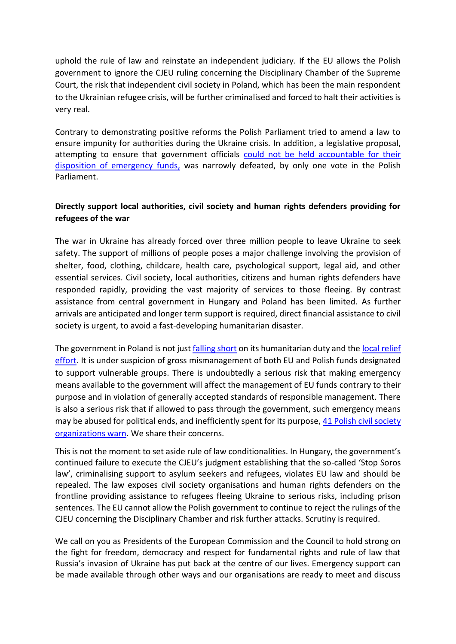uphold the rule of law and reinstate an independent judiciary. If the EU allows the Polish government to ignore the CJEU ruling concerning the Disciplinary Chamber of the Supreme Court, the risk that independent civil society in Poland, which has been the main respondent to the Ukrainian refugee crisis, will be further criminalised and forced to halt their activities is very real.

Contrary to demonstrating positive reforms the Polish Parliament tried to amend a law to ensure impunity for authorities during the Ukraine crisis. In addition, a legislative proposal, attempting to ensure that government officials could not be held accountable for their [disposition of emergency funds,](https://www.transparency.org/en/press/polish-government-attempt-legalise-corruption-crisis-refugees-ukraine) was narrowly defeated, by only one vote in the Polish Parliament.

## **Directly support local authorities, civil society and human rights defenders providing for refugees of the war**

The war in Ukraine has already forced over three million people to leave Ukraine to seek safety. The support of millions of people poses a major challenge involving the provision of shelter, food, clothing, childcare, health care, psychological support, legal aid, and other essential services. Civil society, local authorities, citizens and human rights defenders have responded rapidly, providing the vast majority of services to those fleeing. By contrast assistance from central government in Hungary and Poland has been limited. As further arrivals are anticipated and longer term support is required, direct financial assistance to civil society is urgent, to avoid a fast-developing humanitarian disaster.

The government in Poland is not jus[t falling short](https://www.amnesty.org/en/latest/news/2022/03/poland-authorities-must-act-to-protect-people-fleeing-ukraine-from-further-suffering/) on its humanitarian duty and the [local relief](https://euobserver.com/opinion/154528)  [effort.](https://euobserver.com/opinion/154528) It is under suspicion of gross mismanagement of both EU and Polish funds designated to support vulnerable groups. There is undoubtedly a serious risk that making emergency means available to the government will affect the management of EU funds contrary to their purpose and in violation of generally accepted standards of responsible management. There is also a serious risk that if allowed to pass through the government, such emergency means may be abused for political ends, and inefficiently spent for its purpose, 41 Polish civil society [organizations warn.](https://naszademokracja.pl/petitions/eu-please-support-real-help-providers) We share their concerns.

This is not the moment to set aside rule of law conditionalities. In Hungary, the government's continued failure to execute the CJEU's judgment establishing that the so-called 'Stop Soros law', criminalising support to asylum seekers and refugees, violates EU law and should be repealed. The law exposes civil society organisations and human rights defenders on the frontline providing assistance to refugees fleeing Ukraine to serious risks, including prison sentences. The EU cannot allow the Polish government to continue to reject the rulings of the CJEU concerning the Disciplinary Chamber and risk further attacks. Scrutiny is required.

We call on you as Presidents of the European Commission and the Council to hold strong on the fight for freedom, democracy and respect for fundamental rights and rule of law that Russia's invasion of Ukraine has put back at the centre of our lives. Emergency support can be made available through other ways and our organisations are ready to meet and discuss